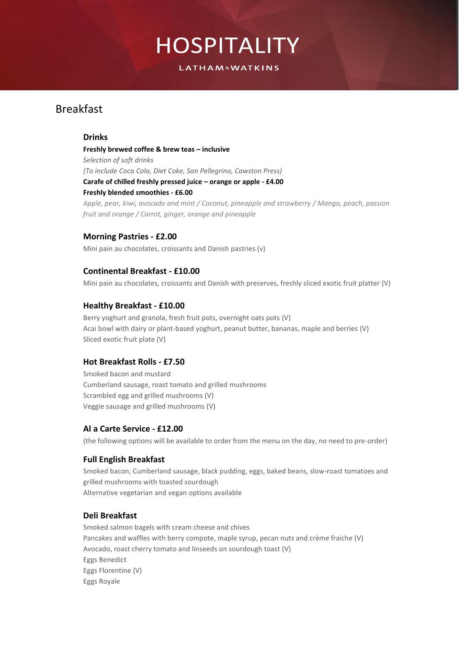**LATHAM&WATKINS** 

### Breakfast

### **Drinks**

**Freshly brewed coffee & brew teas – inclusive** *Selection of soft drinks (To include Coca Cola, Diet Coke, San Pellegrino, Cawston Press)* **Carafe of chilled freshly pressed juice – orange or apple - £4.00 Freshly blended smoothies - £6.00** *Apple, pear, kiwi, avocado and mint / Coconut, pineapple and strawberry / Mango, peach, passion fruit and orange / Carrot, ginger, orange and pineapple*

### **Morning Pastries - £2.00**

Mini pain au chocolates, croissants and Danish pastries (v)

### **Continental Breakfast - £10.00**

Mini pain au chocolates, croissants and Danish with preserves, freshly sliced exotic fruit platter (V)

### **Healthy Breakfast - £10.00**

Berry yoghurt and granola, fresh fruit pots, overnight oats pots (V) Acai bowl with dairy or plant-based yoghurt, peanut butter, bananas, maple and berries (V) Sliced exotic fruit plate (V)

### **Hot Breakfast Rolls - £7.50**

Smoked bacon and mustard Cumberland sausage, roast tomato and grilled mushrooms Scrambled egg and grilled mushrooms (V) Veggie sausage and grilled mushrooms (V)

### **Al a Carte Service - £12.00**

(the following options will be available to order from the menu on the day, no need to pre-order)

### **Full English Breakfast**

Smoked bacon, Cumberland sausage, black pudding, eggs, baked beans, slow-roast tomatoes and grilled mushrooms with toasted sourdough Alternative vegetarian and vegan options available

### **Deli Breakfast**

Smoked salmon bagels with cream cheese and chives Pancakes and waffles with berry compote, maple syrup, pecan nuts and crème fraiche (V) Avocado, roast cherry tomato and linseeds on sourdough toast (V) Eggs Benedict Eggs Florentine (V) Eggs Royale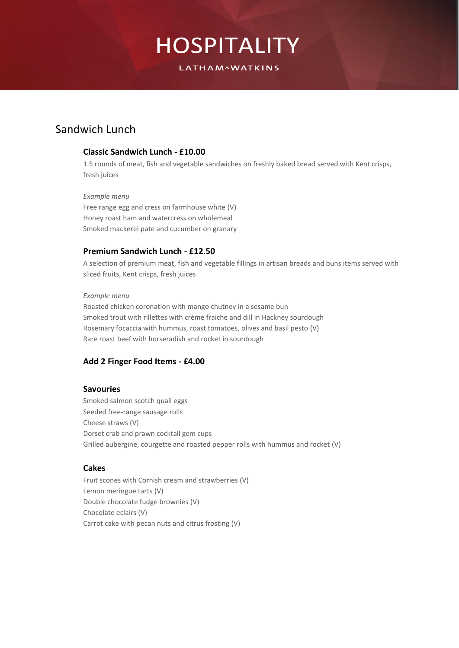**LATHAM&WATKINS** 

### Sandwich Lunch

### **Classic Sandwich Lunch - £10.00**

1.5 rounds of meat, fish and vegetable sandwiches on freshly baked bread served with Kent crisps, fresh juices

#### *Example menu*

Free range egg and cress on farmhouse white (V) Honey roast ham and watercress on wholemeal Smoked mackerel pate and cucumber on granary

### **Premium Sandwich Lunch - £12.50**

A selection of premium meat, fish and vegetable fillings in artisan breads and buns items served with sliced fruits, Kent crisps, fresh juices

#### *Example menu*

Roasted chicken coronation with mango chutney in a sesame bun Smoked trout with rillettes with crème fraiche and dill in Hackney sourdough Rosemary focaccia with hummus, roast tomatoes, olives and basil pesto (V) Rare roast beef with horseradish and rocket in sourdough

### **Add 2 Finger Food Items - £4.00**

### **Savouries**

Smoked salmon scotch quail eggs Seeded free-range sausage rolls Cheese straws (V) Dorset crab and prawn cocktail gem cups Grilled aubergine, courgette and roasted pepper rolls with hummus and rocket (V)

### **Cakes**

Fruit scones with Cornish cream and strawberries (V) Lemon meringue tarts (V) Double chocolate fudge brownies (V) Chocolate eclairs (V) Carrot cake with pecan nuts and citrus frosting (V)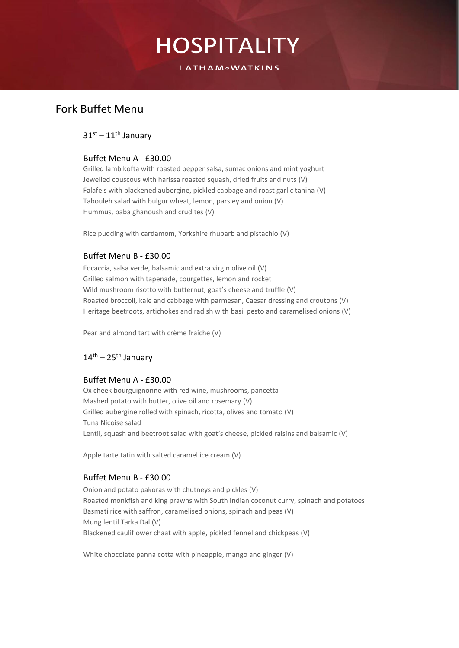**LATHAM&WATKINS** 

### Fork Buffet Menu

### $31<sup>st</sup> - 11<sup>th</sup>$  January

### Buffet Menu A - £30.00

Grilled lamb kofta with roasted pepper salsa, sumac onions and mint yoghurt Jewelled couscous with harissa roasted squash, dried fruits and nuts (V) Falafels with blackened aubergine, pickled cabbage and roast garlic tahina (V) Tabouleh salad with bulgur wheat, lemon, parsley and onion (V) Hummus, baba ghanoush and crudites (V)

Rice pudding with cardamom, Yorkshire rhubarb and pistachio (V)

### Buffet Menu B - £30.00

Focaccia, salsa verde, balsamic and extra virgin olive oil (V) Grilled salmon with tapenade, courgettes, lemon and rocket Wild mushroom risotto with butternut, goat's cheese and truffle (V) Roasted broccoli, kale and cabbage with parmesan, Caesar dressing and croutons (V) Heritage beetroots, artichokes and radish with basil pesto and caramelised onions (V)

Pear and almond tart with crème fraiche (V)

### $14^{\text{th}}$  – 25<sup>th</sup> January

### Buffet Menu A - £30.00

Ox cheek bourguignonne with red wine, mushrooms, pancetta Mashed potato with butter, olive oil and rosemary (V) Grilled aubergine rolled with spinach, ricotta, olives and tomato (V) Tuna Niçoise salad Lentil, squash and beetroot salad with goat's cheese, pickled raisins and balsamic (V)

Apple tarte tatin with salted caramel ice cream (V)

### Buffet Menu B - £30.00

Onion and potato pakoras with chutneys and pickles (V) Roasted monkfish and king prawns with South Indian coconut curry, spinach and potatoes Basmati rice with saffron, caramelised onions, spinach and peas (V) Mung lentil Tarka Dal (V) Blackened cauliflower chaat with apple, pickled fennel and chickpeas (V)

White chocolate panna cotta with pineapple, mango and ginger (V)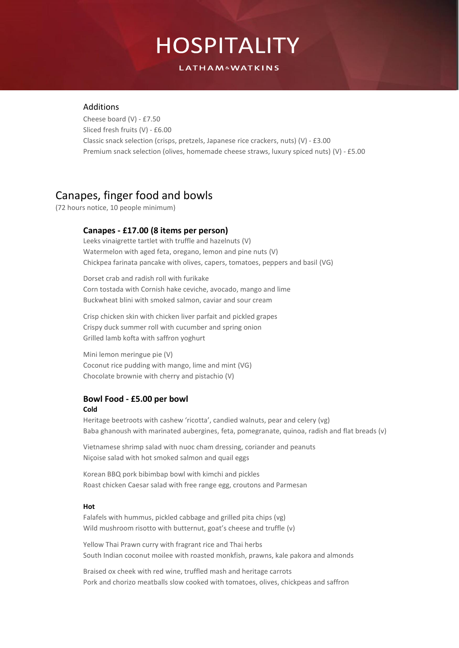**LATHAM&WATKINS** 

### Additions

Cheese board (V) - £7.50 Sliced fresh fruits (V) - £6.00 Classic snack selection (crisps, pretzels, Japanese rice crackers, nuts) (V) - £3.00 Premium snack selection (olives, homemade cheese straws, luxury spiced nuts) (V) - £5.00

### Canapes, finger food and bowls

(72 hours notice, 10 people minimum)

### **Canapes - £17.00 (8 items per person)**

Leeks vinaigrette tartlet with truffle and hazelnuts (V) Watermelon with aged feta, oregano, lemon and pine nuts (V) Chickpea farinata pancake with olives, capers, tomatoes, peppers and basil (VG)

Dorset crab and radish roll with furikake Corn tostada with Cornish hake ceviche, avocado, mango and lime Buckwheat blini with smoked salmon, caviar and sour cream

Crisp chicken skin with chicken liver parfait and pickled grapes Crispy duck summer roll with cucumber and spring onion Grilled lamb kofta with saffron yoghurt

Mini lemon meringue pie (V) Coconut rice pudding with mango, lime and mint (VG) Chocolate brownie with cherry and pistachio (V)

### **Bowl Food - £5.00 per bowl**

#### **Cold**

Heritage beetroots with cashew 'ricotta', candied walnuts, pear and celery (vg) Baba ghanoush with marinated aubergines, feta, pomegranate, quinoa, radish and flat breads (v)

Vietnamese shrimp salad with nuoc cham dressing, coriander and peanuts Niçoise salad with hot smoked salmon and quail eggs

Korean BBQ pork bibimbap bowl with kimchi and pickles Roast chicken Caesar salad with free range egg, croutons and Parmesan

#### **Hot**

Falafels with hummus, pickled cabbage and grilled pita chips (vg) Wild mushroom risotto with butternut, goat's cheese and truffle (v)

Yellow Thai Prawn curry with fragrant rice and Thai herbs South Indian coconut moilee with roasted monkfish, prawns, kale pakora and almonds

Braised ox cheek with red wine, truffled mash and heritage carrots Pork and chorizo meatballs slow cooked with tomatoes, olives, chickpeas and saffron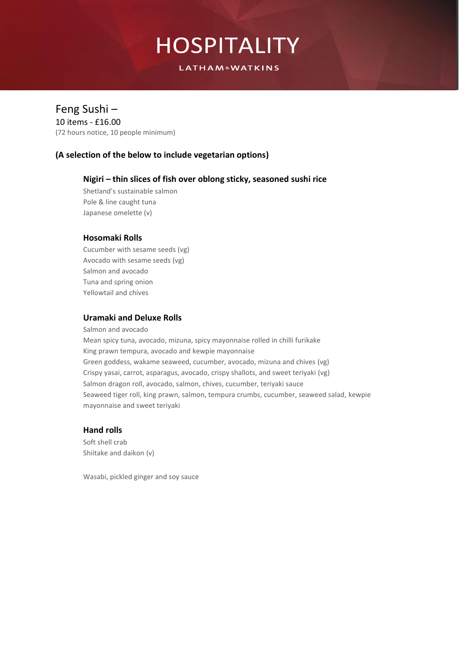**LATHAM&WATKINS** 

### Feng Sushi –

10 items - £16.00 (72 hours notice, 10 people minimum)

### **(A selection of the below to include vegetarian options)**

### **Nigiri – thin slices of fish over oblong sticky, seasoned sushi rice**

Shetland's sustainable salmon Pole & line caught tuna Japanese omelette (v)

### **Hosomaki Rolls**

Cucumber with sesame seeds (vg) Avocado with sesame seeds (vg) Salmon and avocado Tuna and spring onion Yellowtail and chives

### **Uramaki and Deluxe Rolls**

Salmon and avocado Mean spicy tuna, avocado, mizuna, spicy mayonnaise rolled in chilli furikake King prawn tempura, avocado and kewpie mayonnaise Green goddess, wakame seaweed, cucumber, avocado, mizuna and chives (vg) Crispy yasai, carrot, asparagus, avocado, crispy shallots, and sweet teriyaki (vg) Salmon dragon roll, avocado, salmon, chives, cucumber, teriyaki sauce Seaweed tiger roll, king prawn, salmon, tempura crumbs, cucumber, seaweed salad, kewpie mayonnaise and sweet teriyaki

### **Hand rolls**

Soft shell crab Shiitake and daikon (v)

Wasabi, pickled ginger and soy sauce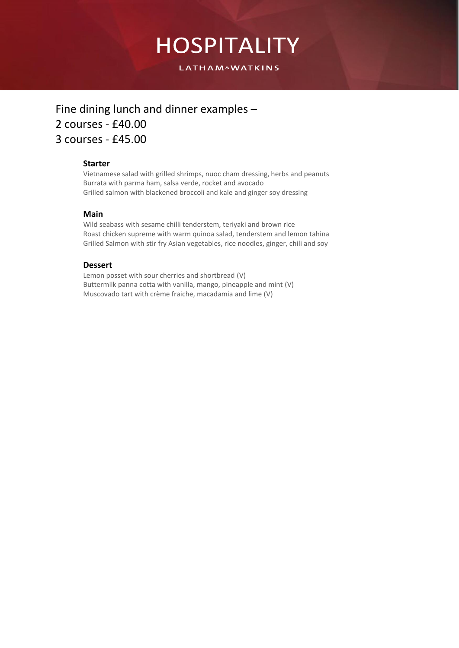**LATHAM&WATKINS** 

### Fine dining lunch and dinner examples – 2 courses - £40.00 3 courses - £45.00

### **Starter**

Vietnamese salad with grilled shrimps, nuoc cham dressing, herbs and peanuts Burrata with parma ham, salsa verde, rocket and avocado Grilled salmon with blackened broccoli and kale and ginger soy dressing

### **Main**

Wild seabass with sesame chilli tenderstem, teriyaki and brown rice Roast chicken supreme with warm quinoa salad, tenderstem and lemon tahina Grilled Salmon with stir fry Asian vegetables, rice noodles, ginger, chili and soy

### **Dessert**

Lemon posset with sour cherries and shortbread (V) Buttermilk panna cotta with vanilla, mango, pineapple and mint (V) Muscovado tart with crème fraiche, macadamia and lime (V)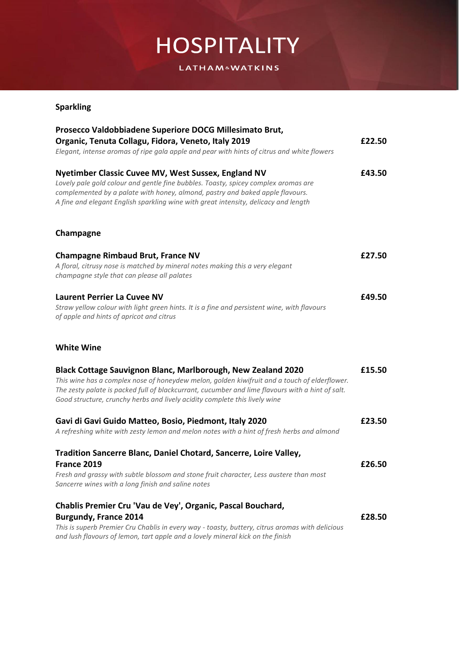**LATHAM&WATKINS** 

### **Sparkling**

| Prosecco Valdobbiadene Superiore DOCG Millesimato Brut,<br>Organic, Tenuta Collagu, Fidora, Veneto, Italy 2019<br>Elegant, intense aromas of ripe gala apple and pear with hints of citrus and white flowers                                                                                                                                   | £22.50 |
|------------------------------------------------------------------------------------------------------------------------------------------------------------------------------------------------------------------------------------------------------------------------------------------------------------------------------------------------|--------|
|                                                                                                                                                                                                                                                                                                                                                |        |
| Champagne                                                                                                                                                                                                                                                                                                                                      |        |
| <b>Champagne Rimbaud Brut, France NV</b><br>A floral, citrusy nose is matched by mineral notes making this a very elegant<br>champagne style that can please all palates                                                                                                                                                                       | £27.50 |
| <b>Laurent Perrier La Cuvee NV</b><br>Straw yellow colour with light green hints. It is a fine and persistent wine, with flavours<br>of apple and hints of apricot and citrus                                                                                                                                                                  | £49.50 |
| <b>White Wine</b>                                                                                                                                                                                                                                                                                                                              |        |
| Black Cottage Sauvignon Blanc, Marlborough, New Zealand 2020<br>This wine has a complex nose of honeydew melon, golden kiwifruit and a touch of elderflower.<br>The zesty palate is packed full of blackcurrant, cucumber and lime flavours with a hint of salt.<br>Good structure, crunchy herbs and lively acidity complete this lively wine | £15.50 |
| Gavi di Gavi Guido Matteo, Bosio, Piedmont, Italy 2020<br>A refreshing white with zesty lemon and melon notes with a hint of fresh herbs and almond                                                                                                                                                                                            | £23.50 |
| Tradition Sancerre Blanc, Daniel Chotard, Sancerre, Loire Valley,<br>France 2019<br>Fresh and grassy with subtle blossom and stone fruit character, Less austere than most<br>Sancerre wines with a long finish and saline notes                                                                                                               | £26.50 |
| Chablis Premier Cru 'Vau de Vey', Organic, Pascal Bouchard,<br><b>Burgundy, France 2014</b><br>This is superb Premier Cru Chablis in every way - toasty, buttery, citrus aromas with delicious<br>and lush flavours of lemon, tart apple and a lovely mineral kick on the finish                                                               | £28.50 |